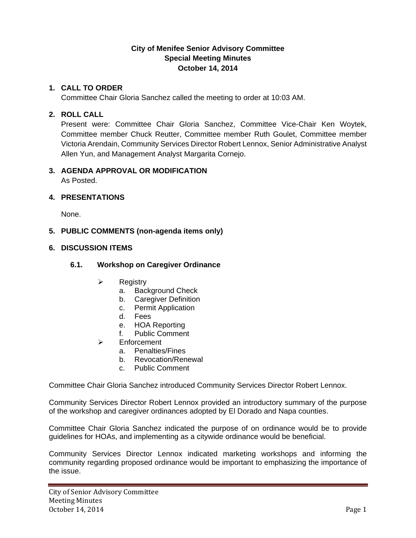# **City of Menifee Senior Advisory Committee Special Meeting Minutes October 14, 2014**

## **1. CALL TO ORDER**

Committee Chair Gloria Sanchez called the meeting to order at 10:03 AM.

### **2. ROLL CALL**

Present were: Committee Chair Gloria Sanchez, Committee Vice-Chair Ken Woytek, Committee member Chuck Reutter, Committee member Ruth Goulet, Committee member Victoria Arendain, Community Services Director Robert Lennox, Senior Administrative Analyst Allen Yun, and Management Analyst Margarita Cornejo.

# **3. AGENDA APPROVAL OR MODIFICATION**

As Posted.

## **4. PRESENTATIONS**

None.

## **5. PUBLIC COMMENTS (non-agenda items only)**

#### **6. DISCUSSION ITEMS**

# **6.1. Workshop on Caregiver Ordinance**

- $\triangleright$  Registry
	- a. Background Check
	- b. Caregiver Definition
	- c. Permit Application
	- d. Fees
	- e. HOA Reporting
	- f. Public Comment
- Enforcement
	- a. Penalties/Fines
	- b. Revocation/Renewal
	- c. Public Comment

Committee Chair Gloria Sanchez introduced Community Services Director Robert Lennox.

Community Services Director Robert Lennox provided an introductory summary of the purpose of the workshop and caregiver ordinances adopted by El Dorado and Napa counties.

Committee Chair Gloria Sanchez indicated the purpose of on ordinance would be to provide guidelines for HOAs, and implementing as a citywide ordinance would be beneficial.

Community Services Director Lennox indicated marketing workshops and informing the community regarding proposed ordinance would be important to emphasizing the importance of the issue.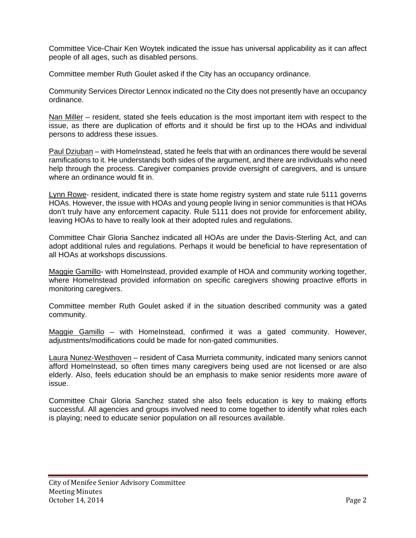Committee Vice-Chair Ken Woytek indicated the issue has universal applicability as it can affect people of all ages, such as disabled persons.

Committee member Ruth Goulet asked if the City has an occupancy ordinance.

Community Services Director Lennox indicated no the City does not presently have an occupancy ordinance.

Nan Miller – resident, stated she feels education is the most important item with respect to the issue, as there are duplication of efforts and it should be first up to the HOAs and individual persons to address these issues.

Paul Dziuban – with HomeInstead, stated he feels that with an ordinances there would be several ramifications to it. He understands both sides of the argument, and there are individuals who need help through the process. Caregiver companies provide oversight of caregivers, and is unsure where an ordinance would fit in.

Lynn Rowe- resident, indicated there is state home registry system and state rule 5111 governs HOAs. However, the issue with HOAs and young people living in senior communities is that HOAs don't truly have any enforcement capacity. Rule 5111 does not provide for enforcement ability, leaving HOAs to have to really look at their adopted rules and regulations.

Committee Chair Gloria Sanchez indicated all HOAs are under the Davis-Sterling Act, and can adopt additional rules and regulations. Perhaps it would be beneficial to have representation of all HOAs at workshops discussions.

Maggie Gamillo- with HomeInstead, provided example of HOA and community working together, where HomeInstead provided information on specific caregivers showing proactive efforts in monitoring caregivers.

Committee member Ruth Goulet asked if in the situation described community was a gated community.

Maggie Gamillo – with HomeInstead, confirmed it was a gated community. However, adjustments/modifications could be made for non-gated communities.

Laura Nunez-Westhoven – resident of Casa Murrieta community, indicated many seniors cannot afford HomeInstead, so often times many caregivers being used are not licensed or are also elderly. Also, feels education should be an emphasis to make senior residents more aware of issue.

Committee Chair Gloria Sanchez stated she also feels education is key to making efforts successful. All agencies and groups involved need to come together to identify what roles each is playing; need to educate senior population on all resources available.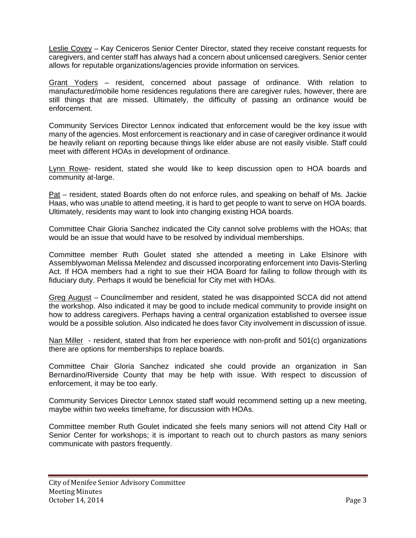Leslie Covey – Kay Ceniceros Senior Center Director, stated they receive constant requests for caregivers, and center staff has always had a concern about unlicensed caregivers. Senior center allows for reputable organizations/agencies provide information on services.

Grant Yoders – resident, concerned about passage of ordinance. With relation to manufactured/mobile home residences regulations there are caregiver rules, however, there are still things that are missed. Ultimately, the difficulty of passing an ordinance would be enforcement.

Community Services Director Lennox indicated that enforcement would be the key issue with many of the agencies. Most enforcement is reactionary and in case of caregiver ordinance it would be heavily reliant on reporting because things like elder abuse are not easily visible. Staff could meet with different HOAs in development of ordinance.

Lynn Rowe- resident, stated she would like to keep discussion open to HOA boards and community at-large.

Pat – resident, stated Boards often do not enforce rules, and speaking on behalf of Ms. Jackie Haas, who was unable to attend meeting, it is hard to get people to want to serve on HOA boards. Ultimately, residents may want to look into changing existing HOA boards.

Committee Chair Gloria Sanchez indicated the City cannot solve problems with the HOAs; that would be an issue that would have to be resolved by individual memberships.

Committee member Ruth Goulet stated she attended a meeting in Lake Elsinore with Assemblywoman Melissa Melendez and discussed incorporating enforcement into Davis-Sterling Act. If HOA members had a right to sue their HOA Board for failing to follow through with its fiduciary duty. Perhaps it would be beneficial for City met with HOAs.

Greg August – Councilmember and resident, stated he was disappointed SCCA did not attend the workshop. Also indicated it may be good to include medical community to provide insight on how to address caregivers. Perhaps having a central organization established to oversee issue would be a possible solution. Also indicated he does favor City involvement in discussion of issue.

Nan Miller - resident, stated that from her experience with non-profit and 501(c) organizations there are options for memberships to replace boards.

Committee Chair Gloria Sanchez indicated she could provide an organization in San Bernardino/Riverside County that may be help with issue. With respect to discussion of enforcement, it may be too early.

Community Services Director Lennox stated staff would recommend setting up a new meeting, maybe within two weeks timeframe, for discussion with HOAs.

Committee member Ruth Goulet indicated she feels many seniors will not attend City Hall or Senior Center for workshops; it is important to reach out to church pastors as many seniors communicate with pastors frequently.